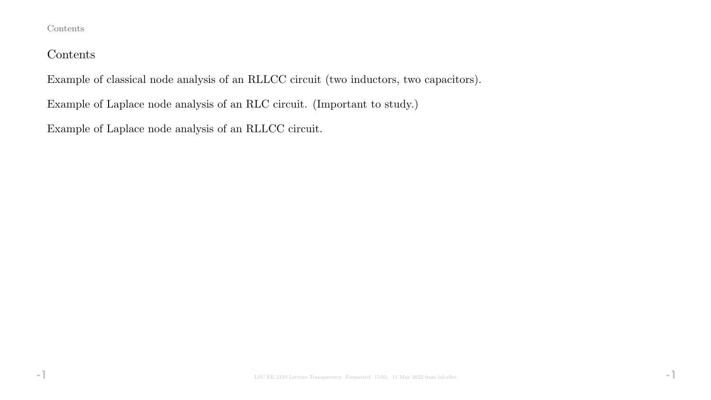### Contents

## Contents

Example of classical node analysis of an RLLCC circuit (two inductors, two capacitors).

Example of Laplace node analysis of an RLC circuit. (Important to study.)

Example of Laplace node analysis of an RLLCC circuit.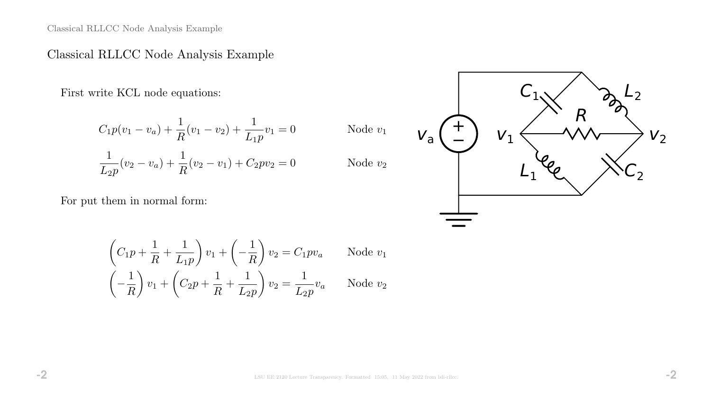Classical RLLCC Node Analysis Example

# Classical RLLCC Node Analysis Example

First write KCL node equations:

$$
C_1 p(v_1 - v_a) + \frac{1}{R}(v_1 - v_2) + \frac{1}{L_1 p}v_1 = 0
$$
  

$$
\frac{1}{L_2 p}(v_2 - v_a) + \frac{1}{R}(v_2 - v_1) + C_2 p v_2 = 0
$$

For put them in normal form:

$$
v_{a} \left( \frac{1}{L_{1}} \right) \quad v_{1} \left\langle \frac{R_{1}}{L_{1}} \right\rangle \left\langle \frac{R_{2}}{L_{2}} \right\rangle
$$

$$
\left(C_1 p + \frac{1}{R} + \frac{1}{L_1 p}\right) v_1 + \left(-\frac{1}{R}\right) v_2 = C_1 p v_a \qquad \text{Node } v_1
$$

$$
\left(-\frac{1}{R}\right) v_1 + \left(C_2 p + \frac{1}{R} + \frac{1}{L_2 p}\right) v_2 = \frac{1}{L_2 p} v_a \qquad \text{Node } v_2
$$

Node  $v_1$ 

Node  $v_2$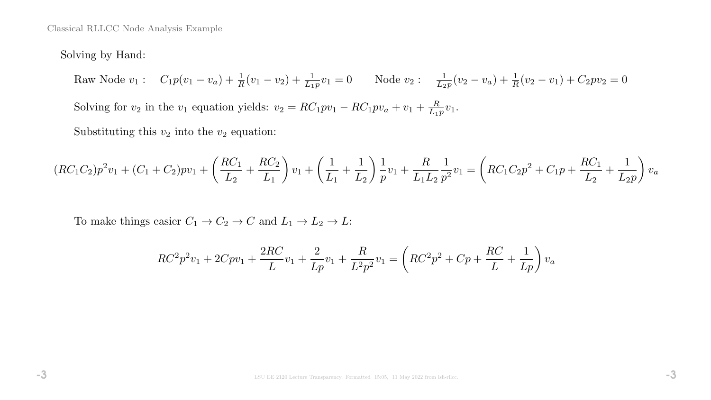Classical RLLCC Node Analysis Example

### Solving by Hand:

Raw Node  $v_1: C_1p(v_1-v_a) + \frac{1}{R}(v_1-v_2) + \frac{1}{L_1p}v_1 = 0$  Node  $v_2: \frac{1}{L_2}$  $\frac{1}{L_2p}(v_2-v_a)+\frac{1}{R}(v_2-v_1)+C_2pv_2=0$ 

Solving for  $v_2$  in the  $v_1$  equation yields:  $v_2 = RC_1pv_1 - RC_1pv_a + v_1 + \frac{R}{L_1}$  $\frac{R}{L_1p}v_1.$ 

Substituting this  $v_2$  into the  $v_2$  equation:

$$
(RC_1C_2)p^2v_1 + (C_1+C_2)pv_1 + \left(\frac{RC_1}{L_2} + \frac{RC_2}{L_1}\right)v_1 + \left(\frac{1}{L_1} + \frac{1}{L_2}\right)\frac{1}{p}v_1 + \frac{R}{L_1L_2}\frac{1}{p^2}v_1 = \left(RC_1C_2p^2 + C_1p + \frac{RC_1}{L_2} + \frac{1}{L_2p}\right)v_a
$$

To make things easier  $C_1 \rightarrow C_2 \rightarrow C$  and  $L_1 \rightarrow L_2 \rightarrow L$ :

$$
RC^{2}p^{2}v_{1} + 2Cpv_{1} + \frac{2RC}{L}v_{1} + \frac{2}{Lp}v_{1} + \frac{R}{L^{2}p^{2}}v_{1} = \left( RC^{2}p^{2} + Cp + \frac{RC}{L} + \frac{1}{Lp}\right)v_{a}
$$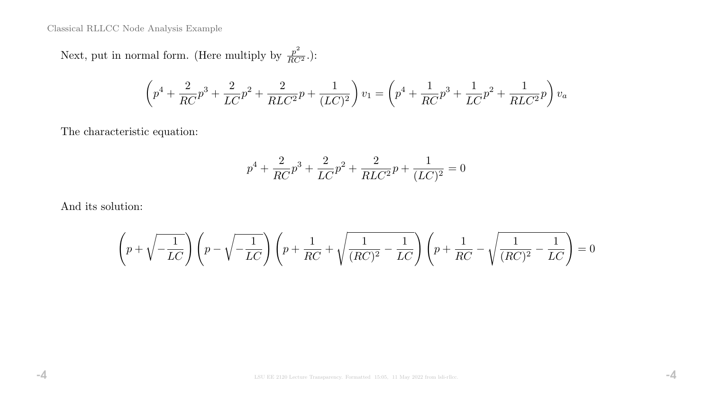Classical RLLCC Node Analysis Example

Next, put in normal form. (Here multiply by  $\frac{p^2}{RC^2}$ .):

$$
\left(p^4 + \frac{2}{RC}p^3 + \frac{2}{LC}p^2 + \frac{2}{RLC^2}p + \frac{1}{(LC)^2}\right)v_1 = \left(p^4 + \frac{1}{RC}p^3 + \frac{1}{LC}p^2 + \frac{1}{RLC^2}p\right)v_a
$$

The characteristic equation:

$$
p^{4} + \frac{2}{RC}p^{3} + \frac{2}{LC}p^{2} + \frac{2}{RLC^{2}}p + \frac{1}{(LC)^{2}} = 0
$$

And its solution:

$$
\left(p+\sqrt{-\frac{1}{LC}}\right)\left(p-\sqrt{-\frac{1}{LC}}\right)\left(p+\frac{1}{RC}+\sqrt{\frac{1}{(RC)^2}-\frac{1}{LC}}\right)\left(p+\frac{1}{RC}-\sqrt{\frac{1}{(RC)^2}-\frac{1}{LC}}\right)=0
$$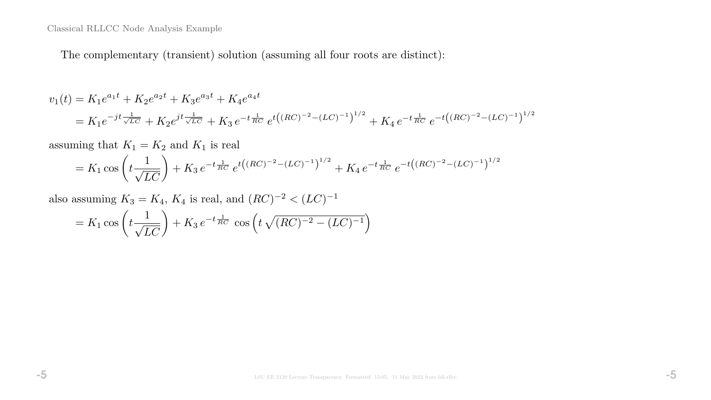The complementary (transient) solution (assuming all four roots are distinct):

$$
v_1(t) = K_1 e^{a_1 t} + K_2 e^{a_2 t} + K_3 e^{a_3 t} + K_4 e^{a_4 t}
$$
  
=  $K_1 e^{-jt \frac{1}{\sqrt{LC}}} + K_2 e^{jt \frac{1}{\sqrt{LC}}} + K_3 e^{-t \frac{1}{RC}} e^{t((RC)^{-2} - (LC)^{-1})^{1/2}} + K_4 e^{-t \frac{1}{RC}} e^{-t((RC)^{-2} - (LC)^{-1})^{1/2}}$ 

assuming that  $K_1 = K_2$  and  $K_1$  is real

$$
= K_1 \cos\left(t \frac{1}{\sqrt{LC}}\right) + K_3 e^{-t \frac{1}{RC}} e^{t \left((RC)^{-2} - (LC)^{-1}\right)^{1/2}} + K_4 e^{-t \frac{1}{RC}} e^{-t \left((RC)^{-2} - (LC)^{-1}\right)^{1/2}}
$$

also assuming  $K_3 = K_4$ ,  $K_4$  is real, and  $(RC)^{-2} < (LC)^{-1}$ 

$$
= K_1 \cos\left(t \frac{1}{\sqrt{LC}}\right) + K_3 e^{-t \frac{1}{RC}} \cos\left(t \sqrt{(RC)^{-2} - (LC)^{-1}}\right)
$$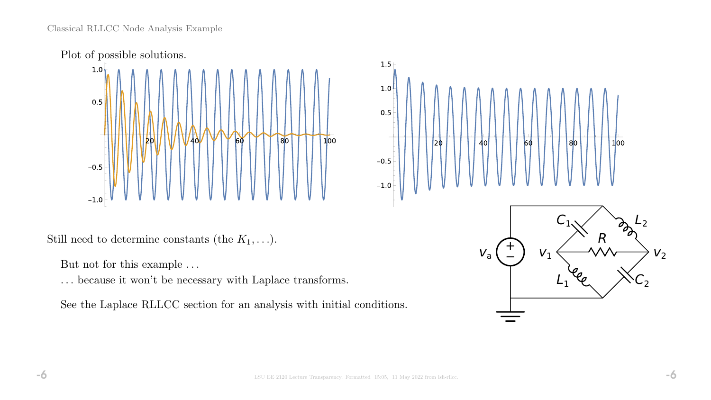



Still need to determine constants (the  $K_1, \ldots$ ).

But not for this example  $\ldots$ 

. . . because it won't be necessary with Laplace transforms.

See the Laplace RLLCC section for an analysis with initial conditions.

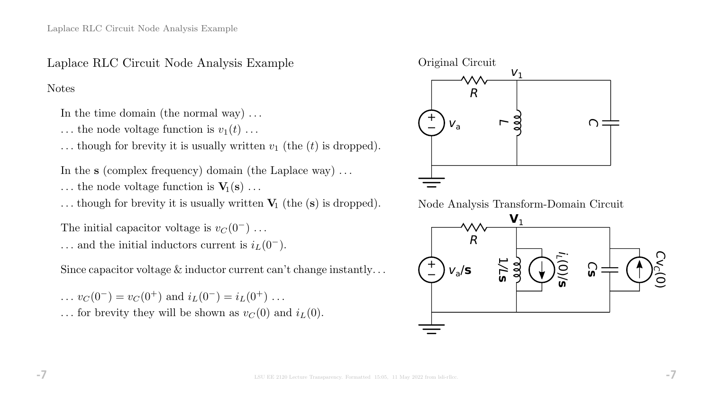- In the time domain (the normal way) ...
- $\dots$  the node voltage function is  $v_1(t) \dots$
- ... though for brevity it is usually written  $v_1$  (the  $(t)$  is dropped).
- In the s (complex frequency) domain (the Laplace way) . . .
- ... the node voltage function is  $V_1(s)$ ...

... though for brevity it is usually written  $V_1$  (the (s) is dropped).

The initial capacitor voltage is  $v_C(0^-) \dots$  $\ldots$  and the initial inductors current is  $i_L(0^-)$ .

Since capacitor voltage  $\&$  inductor current can't change instantly...

 $\ldots v_C(0^-) = v_C(0^+)$  and  $i_L(0^-) = i_L(0^+) \ldots$ 

... for brevity they will be shown as  $v<sub>C</sub>(0)$  and  $i<sub>L</sub>(0)$ .



Node Analysis Transform-Domain Circuit

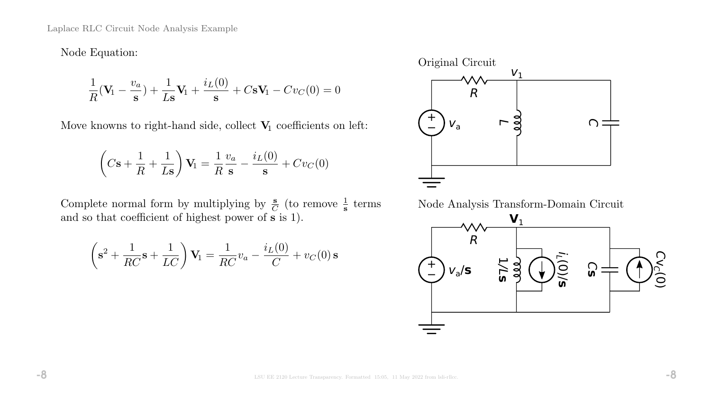Node Equation:

$$
\frac{1}{R}(\mathbf{V}_1 - \frac{v_a}{\mathbf{s}}) + \frac{1}{L\mathbf{s}}\mathbf{V}_1 + \frac{i_L(0)}{\mathbf{s}} + C\mathbf{s}\mathbf{V}_1 - Cv_C(0) = 0
$$

Move knowns to right-hand side, collect  $\mathbf{V}_1$  coefficients on left:

$$
\left(C\mathbf{s} + \frac{1}{R} + \frac{1}{L\mathbf{s}}\right)\mathbf{V}_1 = \frac{1}{R}\frac{v_a}{\mathbf{s}} - \frac{i_L(0)}{\mathbf{s}} + Cv_C(0)
$$

Complete normal form by multiplying by  $\frac{s}{C}$  (to remove  $\frac{1}{s}$  terms and so that coefficient of highest power of  $\tilde{s}$  is 1).

$$
\left(\mathbf{s}^2 + \frac{1}{RC}\mathbf{s} + \frac{1}{LC}\right)\mathbf{V}_1 = \frac{1}{RC}v_a - \frac{i_L(0)}{C} + v_C(0)\,\mathbf{s}
$$



Node Analysis Transform-Domain Circuit

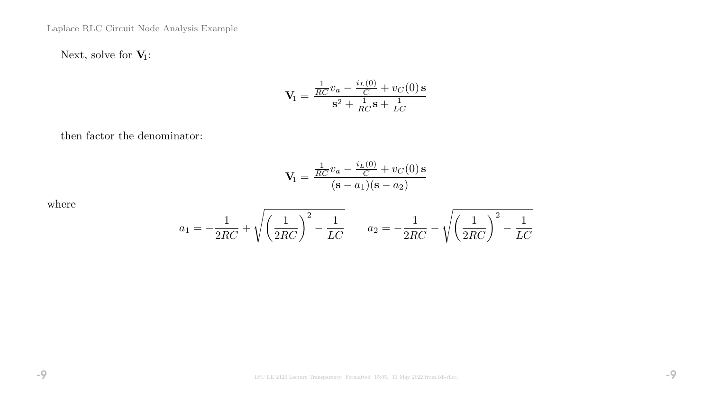Next, solve for  $V_1$ :

$$
\mathbf{V}_1 = \frac{\frac{1}{RC}v_a - \frac{i_L(0)}{C} + v_C(0)\,\mathbf{s}}{\mathbf{s}^2 + \frac{1}{RC}\mathbf{s} + \frac{1}{LC}}
$$

then factor the denominator:

$$
\mathbf{V}_1 = \frac{\frac{1}{RC}v_a - \frac{i_L(0)}{C} + v_C(0)\,\mathbf{s}}{(\mathbf{s} - a_1)(\mathbf{s} - a_2)}
$$

where

$$
a_1 = -\frac{1}{2RC} + \sqrt{\left(\frac{1}{2RC}\right)^2 - \frac{1}{LC}} \qquad a_2 = -\frac{1}{2RC} - \sqrt{\left(\frac{1}{2RC}\right)^2 - \frac{1}{LC}}
$$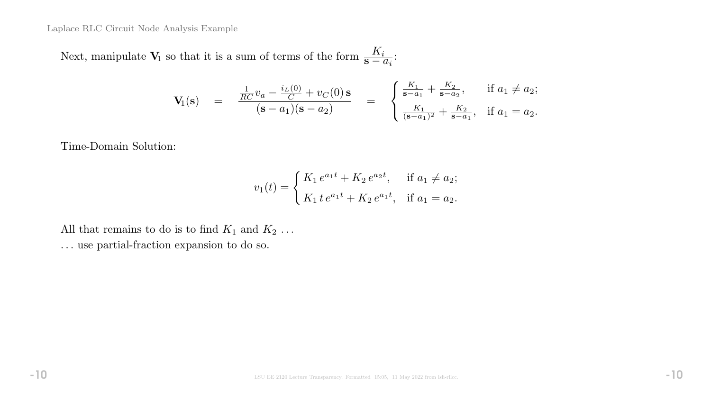Next, manipulate  $V_1$  so that it is a sum of terms of the form  $\frac{K_i}{s-a_i}$ :

$$
\mathbf{V}_1(\mathbf{s}) = \frac{\frac{1}{RC}v_a - \frac{i_L(0)}{C} + v_C(0)\,\mathbf{s}}{(\mathbf{s} - a_1)(\mathbf{s} - a_2)} = \begin{cases} \frac{K_1}{\mathbf{s} - a_1} + \frac{K_2}{\mathbf{s} - a_2}, & \text{if } a_1 \neq a_2; \\ \frac{K_1}{(\mathbf{s} - a_1)^2} + \frac{K_2}{\mathbf{s} - a_1}, & \text{if } a_1 = a_2. \end{cases}
$$

Time-Domain Solution:

$$
v_1(t) = \begin{cases} K_1 e^{a_1 t} + K_2 e^{a_2 t}, & \text{if } a_1 \neq a_2; \\ K_1 t e^{a_1 t} + K_2 e^{a_1 t}, & \text{if } a_1 = a_2. \end{cases}
$$

All that remains to do is to find  $K_1$  and  $K_2$ ... . . . use partial-fraction expansion to do so.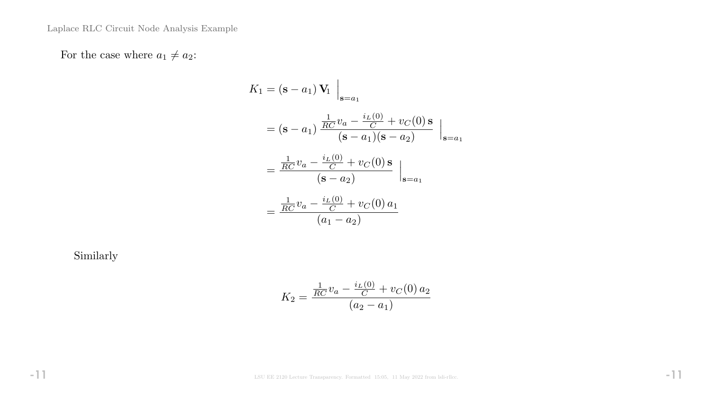For the case where  $a_1 \neq a_2$ :

$$
K_1 = (\mathbf{s} - a_1) \mathbf{V}_1 \Big|_{\mathbf{s} = a_1}
$$
  
= (\mathbf{s} - a\_1) \frac{\frac{1}{RC} v\_a - \frac{i\_L(0)}{C} + v\_C(0) \mathbf{s}}{(\mathbf{s} - a\_1)(\mathbf{s} - a\_2)} \Big|\_{\mathbf{s} = a\_1}  
= \frac{\frac{1}{RC} v\_a - \frac{i\_L(0)}{C} + v\_C(0) \mathbf{s}}{(\mathbf{s} - a\_2)} \Big|\_{\mathbf{s} = a\_1}  
= \frac{\frac{1}{RC} v\_a - \frac{i\_L(0)}{C} + v\_C(0) a\_1}{(a\_1 - a\_2)}

Similarly

$$
K_2 = \frac{\frac{1}{RC}v_a - \frac{i_L(0)}{C} + v_C(0) a_2}{(a_2 - a_1)}
$$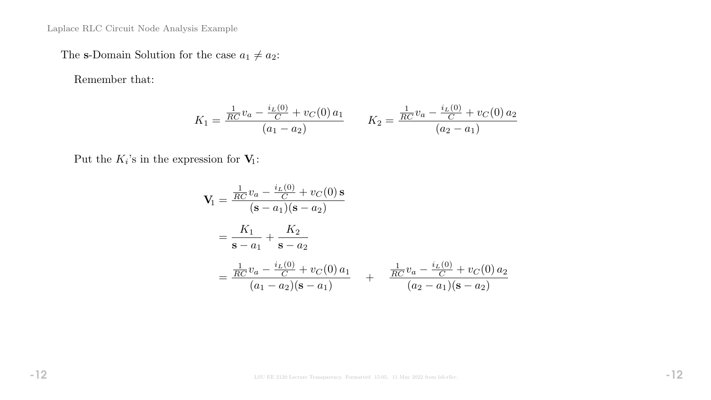The s-Domain Solution for the case  $a_1 \neq a_2$ :

Remember that:

$$
K_1 = \frac{\frac{1}{RC}v_a - \frac{i_L(0)}{C} + v_C(0) a_1}{(a_1 - a_2)} \qquad K_2 = \frac{\frac{1}{RC}v_a - \frac{i_L(0)}{C} + v_C(0) a_2}{(a_2 - a_1)}
$$

Put the  $K_i$ 's in the expression for  $V_1$ :

$$
\mathbf{V}_{1} = \frac{\frac{1}{RC}v_{a} - \frac{i_{L}(0)}{C} + v_{C}(0) \,\mathbf{s}}{(\mathbf{s} - a_{1})(\mathbf{s} - a_{2})}
$$
\n
$$
= \frac{K_{1}}{\mathbf{s} - a_{1}} + \frac{K_{2}}{\mathbf{s} - a_{2}}
$$
\n
$$
= \frac{\frac{1}{RC}v_{a} - \frac{i_{L}(0)}{C} + v_{C}(0) \, a_{1}}{(a_{1} - a_{2})(\mathbf{s} - a_{1})} + \frac{\frac{1}{RC}v_{a} - \frac{i_{L}(0)}{C} + v_{C}(0) \, a_{2}}{(a_{2} - a_{1})(\mathbf{s} - a_{2})}
$$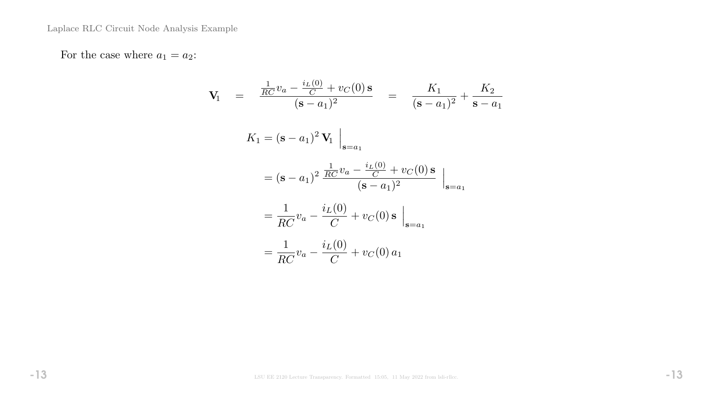For the case where  $a_1 = a_2$ :

$$
\mathbf{V}_{1} = \frac{\frac{1}{RC}v_{a} - \frac{i_{L}(0)}{C} + v_{C}(0)\mathbf{s}}{(\mathbf{s} - a_{1})^{2}} = \frac{K_{1}}{(\mathbf{s} - a_{1})^{2}} + \frac{K_{2}}{\mathbf{s} - a_{1}}
$$
\n
$$
K_{1} = (\mathbf{s} - a_{1})^{2} \mathbf{V}_{1} \Big|_{\mathbf{s} = a_{1}}
$$
\n
$$
= (\mathbf{s} - a_{1})^{2} \frac{\frac{1}{RC}v_{a} - \frac{i_{L}(0)}{C} + v_{C}(0)\mathbf{s}}{(\mathbf{s} - a_{1})^{2}} \Big|_{\mathbf{s} = a_{1}}
$$
\n
$$
= \frac{1}{RC}v_{a} - \frac{i_{L}(0)}{C} + v_{C}(0)\mathbf{s} \Big|_{\mathbf{s} = a_{1}}
$$
\n
$$
= \frac{1}{RC}v_{a} - \frac{i_{L}(0)}{C} + v_{C}(0) a_{1}
$$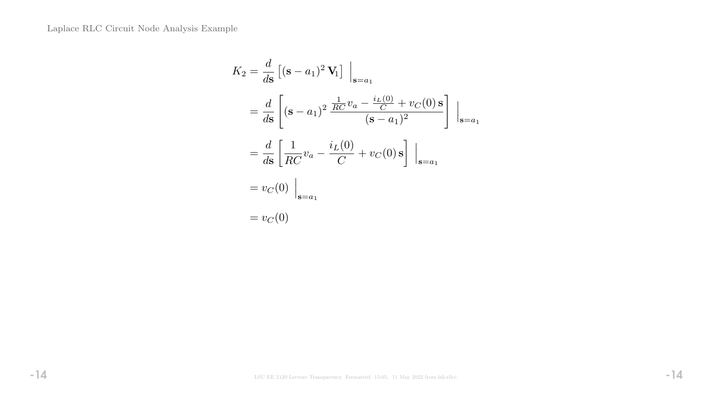$$
K_2 = \frac{d}{ds} \left[ (\mathbf{s} - a_1)^2 \mathbf{V}_1 \right] \Big|_{\mathbf{s} = a_1}
$$
  
=  $\frac{d}{ds} \left[ (\mathbf{s} - a_1)^2 \frac{\frac{1}{RC} v_a - \frac{i_L(0)}{C} + v_C(0) \mathbf{s}}{(\mathbf{s} - a_1)^2} \right] \Big|_{\mathbf{s} = a_1}$   
=  $\frac{d}{ds} \left[ \frac{1}{RC} v_a - \frac{i_L(0)}{C} + v_C(0) \mathbf{s} \right] \Big|_{\mathbf{s} = a_1}$   
=  $v_C(0) \Big|_{\mathbf{s} = a_1}$   
=  $v_C(0)$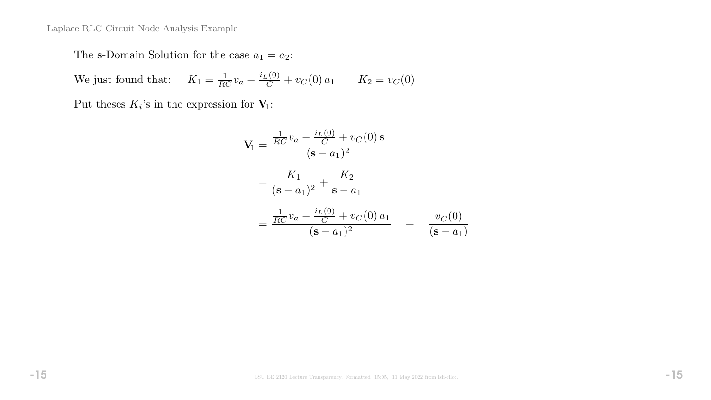The s-Domain Solution for the case  $a_1 = a_2$ :

We just found that:  $K_1 = \frac{1}{RC}v_a - \frac{i_L(0)}{C}$  $\frac{C_{C}}{C} + v_{C}(0) a_{1}$   $K_{2} = v_{C}(0)$ 

Put theses  $K_i$ 's in the expression for  $V_1$ :

$$
\mathbf{V}_{1} = \frac{\frac{1}{RC}v_{a} - \frac{i_{L}(0)}{C} + v_{C}(0) \,\mathbf{s}}{(\mathbf{s} - a_{1})^{2}}
$$
\n
$$
= \frac{K_{1}}{(\mathbf{s} - a_{1})^{2}} + \frac{K_{2}}{\mathbf{s} - a_{1}}
$$
\n
$$
= \frac{\frac{1}{RC}v_{a} - \frac{i_{L}(0)}{C} + v_{C}(0) \, a_{1}}{(\mathbf{s} - a_{1})^{2}} + \frac{v_{C}(0)}{(\mathbf{s} - a_{1})}
$$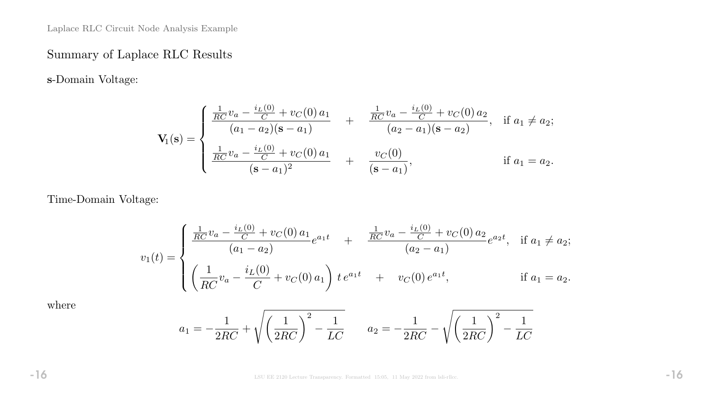# Summary of Laplace RLC Results

s-Domain Voltage:

$$
\mathbf{V}_{1}(\mathbf{s}) = \begin{cases} \frac{\frac{1}{RC}v_{a} - \frac{i_{L}(0)}{C} + v_{C}(0) a_{1}}{(a_{1} - a_{2})(\mathbf{s} - a_{1})} & + \frac{\frac{1}{RC}v_{a} - \frac{i_{L}(0)}{C} + v_{C}(0) a_{2}}{(a_{2} - a_{1})(\mathbf{s} - a_{2})}, & \text{if } a_{1} \neq a_{2}; \\ \frac{\frac{1}{RC}v_{a} - \frac{i_{L}(0)}{C} + v_{C}(0) a_{1}}{(\mathbf{s} - a_{1})^{2}} & + \frac{v_{C}(0)}{(\mathbf{s} - a_{1})}, & \text{if } a_{1} = a_{2}. \end{cases}
$$

Time-Domain Voltage:

$$
v_1(t) = \begin{cases} \frac{\frac{1}{RC}v_a - \frac{i_L(0)}{C} + v_C(0) a_1}{(a_1 - a_2)} e^{a_1 t} &+ \frac{\frac{1}{RC}v_a - \frac{i_L(0)}{C} + v_C(0) a_2}{(a_2 - a_1)} e^{a_2 t}, & \text{if } a_1 \neq a_2; \\ \left(\frac{1}{RC}v_a - \frac{i_L(0)}{C} + v_C(0) a_1\right) t e^{a_1 t} &+ v_C(0) e^{a_1 t}, & \text{if } a_1 = a_2. \end{cases}
$$

where

$$
a_1 = -\frac{1}{2RC} + \sqrt{\left(\frac{1}{2RC}\right)^2 - \frac{1}{LC}} \qquad a_2 = -\frac{1}{2RC} - \sqrt{\left(\frac{1}{2RC}\right)^2 - \frac{1}{LC}}
$$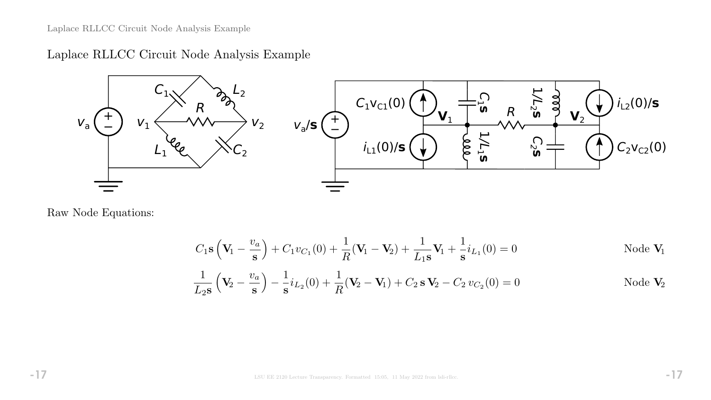Laplace RLLCC Circuit Node Analysis Example



Raw Node Equations:

$$
C_1 \mathbf{s} \left( \mathbf{V}_1 - \frac{v_a}{\mathbf{s}} \right) + C_1 v_{C_1}(0) + \frac{1}{R} (\mathbf{V}_1 - \mathbf{V}_2) + \frac{1}{L_1 \mathbf{s}} \mathbf{V}_1 + \frac{1}{\mathbf{s}} i_{L_1}(0) = 0
$$
Node  $\mathbf{V}_1$ 

$$
\frac{1}{L_2 s} \left( \mathbf{V}_2 - \frac{v_a}{s} \right) - \frac{1}{s} i_{L_2}(0) + \frac{1}{R} (\mathbf{V}_2 - \mathbf{V}_1) + C_2 s \mathbf{V}_2 - C_2 v_{C_2}(0) = 0
$$
Node  $\mathbf{V}_2$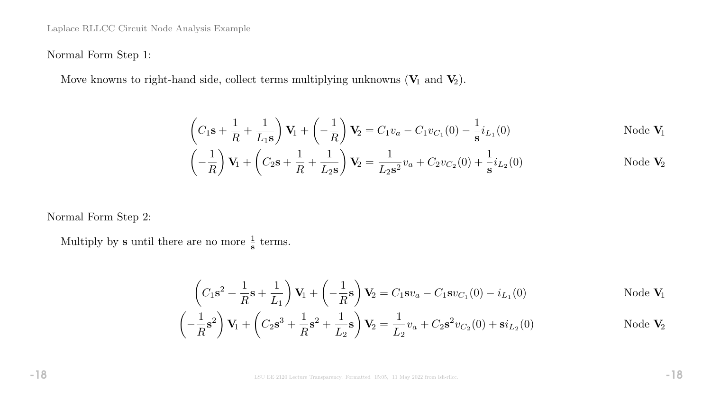Normal Form Step 1:

Move knowns to right-hand side, collect terms multiplying unknowns  $(V_1 \text{ and } V_2)$ .

$$
\left(C_1\mathbf{s} + \frac{1}{R} + \frac{1}{L_1\mathbf{s}}\right)\mathbf{V}_1 + \left(-\frac{1}{R}\right)\mathbf{V}_2 = C_1v_a - C_1v_{C_1}(0) - \frac{1}{\mathbf{s}}i_{L_1}(0)
$$
Node  $\mathbf{V}_1$ 

$$
\left(-\frac{1}{R}\right)\mathbf{V}_1 + \left(C_2\mathbf{s} + \frac{1}{R} + \frac{1}{L_2\mathbf{s}}\right)\mathbf{V}_2 = \frac{1}{L_2\mathbf{s}^2}v_a + C_2v_{C_2}(0) + \frac{1}{\mathbf{s}}i_{L_2}(0)
$$
Node  $\mathbf{V}_2$ 

Normal Form Step 2:

Multiply by **s** until there are no more  $\frac{1}{s}$  terms.

$$
\left(C_1\mathbf{s}^2 + \frac{1}{R}\mathbf{s} + \frac{1}{L_1}\right)\mathbf{V}_1 + \left(-\frac{1}{R}\mathbf{s}\right)\mathbf{V}_2 = C_1\mathbf{s}v_a - C_1\mathbf{s}v_{C_1}(0) - i_{L_1}(0)
$$
Node  $\mathbf{V}_1$ 

$$
\left(-\frac{1}{R}s^2\right)\mathbf{V}_1 + \left(C_2s^3 + \frac{1}{R}s^2 + \frac{1}{L_2}s\right)\mathbf{V}_2 = \frac{1}{L_2}v_a + C_2s^2v_{C_2}(0) + si_{L_2}(0)
$$
Node  $\mathbf{V}_2$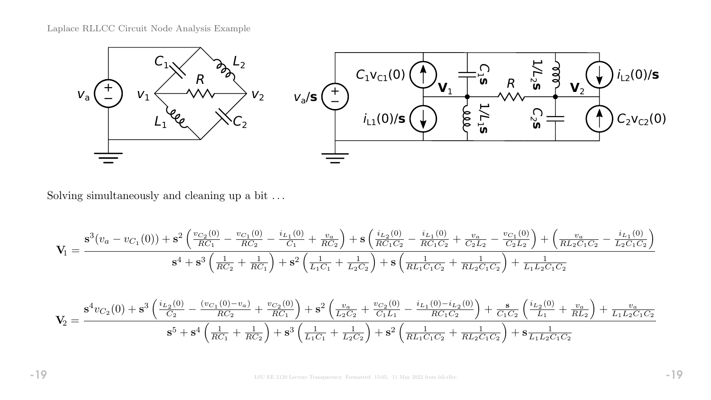

Solving simultaneously and cleaning up a bit  $\ldots$ 

$$
\mathbf{V}_{1}=\frac{\mathbf{s}^{3}(v_{a}-v_{C_{1}}(0))+\mathbf{s}^{2}\left(\frac{v_{C_{2}}(0)}{RC_{1}}-\frac{v_{C_{1}}(0)}{RC_{2}}-\frac{i_{L_{1}}(0)}{C_{1}}+\frac{v_{a}}{RC_{2}}\right)+\mathbf{s}\left(\frac{i_{L_{2}}(0)}{RC_{1}C_{2}}-\frac{i_{L_{1}}(0)}{RC_{1}C_{2}}+\frac{v_{a}}{C_{2}L_{2}}-\frac{v_{C_{1}}(0)}{C_{2}L_{2}}\right)+\left(\frac{v_{a}}{RL_{2}C_{1}C_{2}}-\frac{i_{L_{1}}(0)}{L_{2}C_{1}C_{2}}\right)}{\mathbf{s}^{4}+\mathbf{s}^{3}\left(\frac{1}{RC_{2}}+\frac{1}{RC_{1}}\right)+\mathbf{s}^{2}\left(\frac{1}{L_{1}C_{1}}+\frac{1}{L_{2}C_{2}}\right)+\mathbf{s}\left(\frac{1}{RL_{1}C_{1}C_{2}}+\frac{1}{RL_{2}C_{1}C_{2}}\right)+\frac{1}{L_{1}L_{2}C_{1}C_{2}}}
$$

$$
\mathbf{V}_2 = \frac{\mathbf{s}^4 v_{C_2}(0) + \mathbf{s}^3 \left(\frac{i_{L_2}(0)}{C_2} - \frac{(v_{C_1}(0) - v_a)}{RC_2} + \frac{v_{C_2}(0)}{RC_1}\right) + \mathbf{s}^2 \left(\frac{v_a}{L_2C_2} + \frac{v_{C_2}(0)}{C_1L_1} - \frac{i_{L_1}(0) - i_{L_2}(0)}{RC_1C_2}\right) + \frac{\mathbf{s}}{C_1C_2} \left(\frac{i_{L_2}(0)}{L_1} + \frac{v_a}{RL_2}\right) + \frac{v_a}{L_1L_2C_1C_2}
$$

$$
\mathbf{s}^5 + \mathbf{s}^4 \left(\frac{1}{RC_1} + \frac{1}{RC_2}\right) + \mathbf{s}^3 \left(\frac{1}{L_1C_1} + \frac{1}{L_2C_2}\right) + \mathbf{s}^2 \left(\frac{1}{RL_1C_1C_2} + \frac{1}{RL_2C_1C_2}\right) + \mathbf{s} \frac{1}{L_1L_2C_1C_2}
$$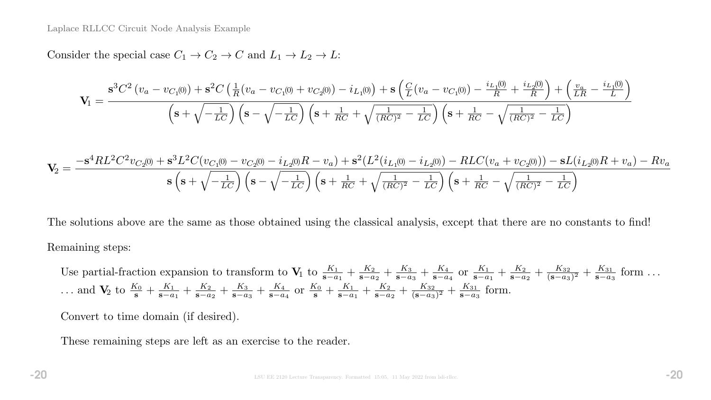Consider the special case  $C_1 \rightarrow C_2 \rightarrow C$  and  $L_1 \rightarrow L_2 \rightarrow L$ :

$$
\mathbf{V}_{1} = \frac{\mathbf{s}^{3}C^{2}\left(v_{a}-v_{C_{1}(0)}\right)+\mathbf{s}^{2}C\left(\frac{1}{R}\left(v_{a}-v_{C_{1}(0)}+v_{C_{2}(0)}\right)-i_{L_{1}(0)}\right)+\mathbf{s}\left(\frac{C}{L}\left(v_{a}-v_{C_{1}(0)}\right)-\frac{i_{L_{1}(0)}}{R}+\frac{i_{L_{2}(0)}}{R}\right)+\left(\frac{v_{a}}{LR}-\frac{i_{L_{1}(0)}}{L}\right)}{\left(\mathbf{s}+\sqrt{-\frac{1}{LC}}\right)\left(\mathbf{s}-\sqrt{-\frac{1}{LC}}\right)\left(\mathbf{s}+\frac{1}{RC}+\sqrt{\frac{1}{(RC)^{2}}-\frac{1}{LC}}\right)\left(\mathbf{s}+\frac{1}{RC}-\sqrt{\frac{1}{(RC)^{2}}-\frac{1}{LC}}\right)}
$$

$$
\mathbf{V}_2 = \frac{-\mathbf{s}^4 R L^2 C^2 v_{C_2(0)} + \mathbf{s}^3 L^2 C (v_{C_1(0)} - v_{C_2(0)} - i_{L_2(0)}R - v_a) + \mathbf{s}^2 (L^2 (i_{L_1(0)} - i_{L_2(0)}) - R L C (v_a + v_{C_2(0)})) - \mathbf{s} L (i_{L_2(0)}R + v_a) - R v_a}{\mathbf{s} \left(\mathbf{s} + \sqrt{-\frac{1}{LC}}\right) \left(\mathbf{s} - \sqrt{-\frac{1}{LC}}\right) \left(\mathbf{s} + \frac{1}{RC} + \sqrt{\frac{1}{(RC)^2} - \frac{1}{LC}}\right) \left(\mathbf{s} + \frac{1}{RC} - \sqrt{\frac{1}{(RC)^2} - \frac{1}{LC}}\right)}
$$

The solutions above are the same as those obtained using the classical analysis, except that there are no constants to find! Remaining steps:

Use partial-fraction expansion to transform to  $V_1$  to  $\frac{K_1}{s-a_1} + \frac{K_2}{s-a_1}$  $\frac{K_2}{s-a_2}+\frac{K_3}{s-a}$  $\frac{K_3}{s-a_3}+\frac{K_4}{s-a}$  $\frac{K_4}{s-a_4}$  or  $\frac{K_1}{s-a_1} + \frac{K_2}{s-a_1}$  $\frac{K_2}{s-a_2}+\frac{K_{32}}{(s-a_3)}$  $\frac{K_{32}}{(\mathbf{s}-a_3)^2}+\frac{K_{31}}{\mathbf{s}-a_3}$  $\frac{K_{31}}{s-a_3}$  form ... ... and  $V_2$  to  $\frac{K_0}{s} + \frac{K_1}{s-a}$  $\frac{K_1}{s-a_1}+\frac{K_2}{s-a}$  $\frac{K_2}{\mathbf{s}-a_2}+\frac{K_3}{\mathbf{s}-a_3}$  $\frac{K_3}{s-a_3}+\frac{K_4}{s-a}$  $\frac{K_4}{s-a_4}$  or  $\frac{K_0}{s} + \frac{K_1}{s-a}$  $\frac{K_1}{s-a_1}+\frac{K_2}{s-a}$  $\frac{K_2}{\mathbf{s}-a_2}+\frac{K_{32}}{(\mathbf{s}-a_3)}$  $\frac{K_{32}}{(\mathbf{s}-a_3)^2}+\frac{K_{31}}{\mathbf{s}-a_3}$  $\frac{K_{31}}{s-a_3}$  form.

Convert to time domain (if desired).

These remaining steps are left as an exercise to the reader.